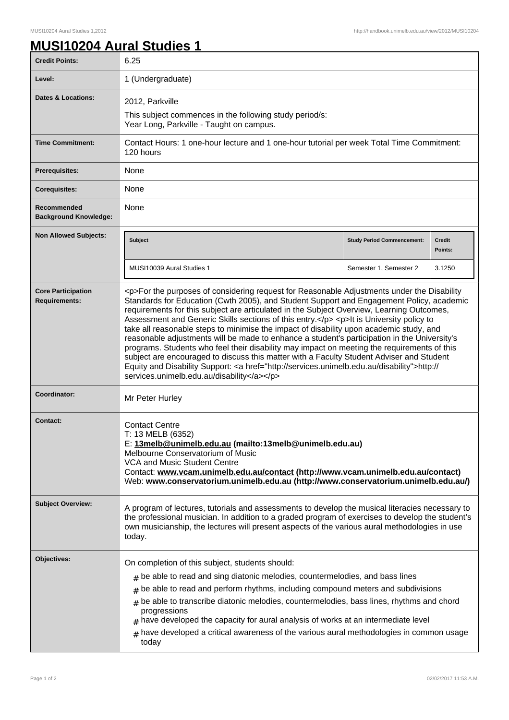1

## **MUSI10204 Aural Studies 1**

| <b>Credit Points:</b>                             | 6.25                                                                                                                                                                                                                                                                                                                                                                                                                                                                                                                                                                                                                                                                                                                                                                                                                                                                                                                         |                                   |                          |
|---------------------------------------------------|------------------------------------------------------------------------------------------------------------------------------------------------------------------------------------------------------------------------------------------------------------------------------------------------------------------------------------------------------------------------------------------------------------------------------------------------------------------------------------------------------------------------------------------------------------------------------------------------------------------------------------------------------------------------------------------------------------------------------------------------------------------------------------------------------------------------------------------------------------------------------------------------------------------------------|-----------------------------------|--------------------------|
| Level:                                            | 1 (Undergraduate)                                                                                                                                                                                                                                                                                                                                                                                                                                                                                                                                                                                                                                                                                                                                                                                                                                                                                                            |                                   |                          |
| Dates & Locations:                                | 2012, Parkville<br>This subject commences in the following study period/s:<br>Year Long, Parkville - Taught on campus.                                                                                                                                                                                                                                                                                                                                                                                                                                                                                                                                                                                                                                                                                                                                                                                                       |                                   |                          |
| <b>Time Commitment:</b>                           | Contact Hours: 1 one-hour lecture and 1 one-hour tutorial per week Total Time Commitment:<br>120 hours                                                                                                                                                                                                                                                                                                                                                                                                                                                                                                                                                                                                                                                                                                                                                                                                                       |                                   |                          |
| Prerequisites:                                    | None                                                                                                                                                                                                                                                                                                                                                                                                                                                                                                                                                                                                                                                                                                                                                                                                                                                                                                                         |                                   |                          |
| <b>Corequisites:</b>                              | None                                                                                                                                                                                                                                                                                                                                                                                                                                                                                                                                                                                                                                                                                                                                                                                                                                                                                                                         |                                   |                          |
| Recommended<br><b>Background Knowledge:</b>       | None                                                                                                                                                                                                                                                                                                                                                                                                                                                                                                                                                                                                                                                                                                                                                                                                                                                                                                                         |                                   |                          |
| <b>Non Allowed Subjects:</b>                      | Subject                                                                                                                                                                                                                                                                                                                                                                                                                                                                                                                                                                                                                                                                                                                                                                                                                                                                                                                      | <b>Study Period Commencement:</b> | <b>Credit</b><br>Points: |
|                                                   | MUSI10039 Aural Studies 1                                                                                                                                                                                                                                                                                                                                                                                                                                                                                                                                                                                                                                                                                                                                                                                                                                                                                                    | Semester 1, Semester 2            | 3.1250                   |
| <b>Core Participation</b><br><b>Requirements:</b> | <p>For the purposes of considering request for Reasonable Adjustments under the Disability<br/>Standards for Education (Cwth 2005), and Student Support and Engagement Policy, academic<br/>requirements for this subject are articulated in the Subject Overview, Learning Outcomes,<br/>Assessment and Generic Skills sections of this entry.</p> <p>It is University policy to<br/>take all reasonable steps to minimise the impact of disability upon academic study, and<br/>reasonable adjustments will be made to enhance a student's participation in the University's<br/>programs. Students who feel their disability may impact on meeting the requirements of this<br/>subject are encouraged to discuss this matter with a Faculty Student Adviser and Student<br/>Equity and Disability Support: &lt; a href="http://services.unimelb.edu.au/disability"&gt;http://<br/>services.unimelb.edu.au/disability</p> |                                   |                          |
| Coordinator:                                      | Mr Peter Hurley                                                                                                                                                                                                                                                                                                                                                                                                                                                                                                                                                                                                                                                                                                                                                                                                                                                                                                              |                                   |                          |
| <b>Contact:</b>                                   | <b>Contact Centre</b><br>T: 13 MELB (6352)<br>E: 13melb@unimelb.edu.au (mailto:13melb@unimelb.edu.au)<br>Melbourne Conservatorium of Music<br><b>VCA and Music Student Centre</b><br>Contact: www.vcam.unimelb.edu.au/contact (http://www.vcam.unimelb.edu.au/contact)<br>Web: www.conservatorium.unimelb.edu.au (http://www.conservatorium.unimelb.edu.au/)                                                                                                                                                                                                                                                                                                                                                                                                                                                                                                                                                                 |                                   |                          |
| <b>Subject Overview:</b>                          | A program of lectures, tutorials and assessments to develop the musical literacies necessary to<br>the professional musician. In addition to a graded program of exercises to develop the student's<br>own musicianship, the lectures will present aspects of the various aural methodologies in use<br>today.                                                                                                                                                                                                                                                                                                                                                                                                                                                                                                                                                                                                               |                                   |                          |
| Objectives:                                       | On completion of this subject, students should:<br>$#$ be able to read and sing diatonic melodies, countermelodies, and bass lines<br>be able to read and perform rhythms, including compound meters and subdivisions<br>be able to transcribe diatonic melodies, countermelodies, bass lines, rhythms and chord<br>#<br>progressions<br>have developed the capacity for aural analysis of works at an intermediate level<br>have developed a critical awareness of the various aural methodologies in common usage<br>$\pm$<br>today                                                                                                                                                                                                                                                                                                                                                                                        |                                   |                          |